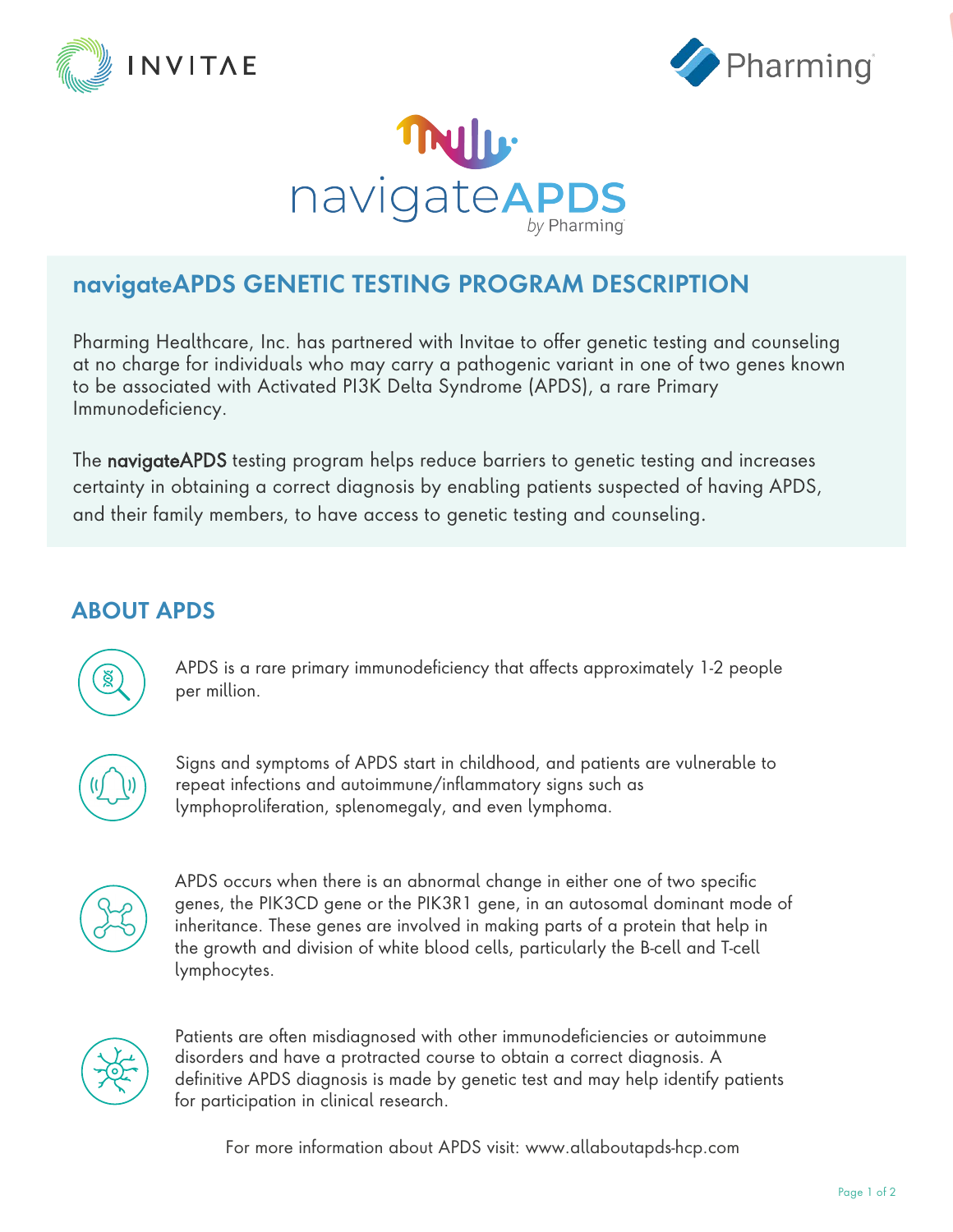





# **navigateAPDS GENETIC TESTING PROGRAM DESCRIPTION**

Pharming Healthcare, Inc. has partnered with Invitae to offer genetic testing and counseling at no charge for individuals who may carry a pathogenic variant in one of two genes known to be associated with Activated PI3K Delta Syndrome (APDS), a rare Primary Immunodeficiency.

The navigateAPDS testing program helps reduce barriers to genetic testing and increases certainty in obtaining a correct diagnosis by enabling patients suspected of having APDS, and their family members, to have access to genetic testing and counseling.

# **ABOUT APDS**

ğ

APDS is a rare primary immunodeficiency that affects approximately 1-2 people per million.



Signs and symptoms of APDS start in childhood, and patients are vulnerable to repeat infections and autoimmune/inflammatory signs such as lymphoproliferation, splenomegaly, and even lymphoma.



APDS occurs when there is an abnormal change in either one of two specific genes, the PIK3CD gene or the PIK3R1 gene, in an autosomal dominant mode of inheritance. These genes are involved in making parts of a protein that help in the growth and division of white blood cells, particularly the B-cell and T-cell lymphocytes.



Patients are often misdiagnosed with other immunodeficiencies or autoimmune disorders and have a protracted course to obtain a correct diagnosis. A definitive APDS diagnosis is made by genetic test and may help identify patients for participation in clinical research.

For more information about APDS visit: www.allaboutapds-hcp.com